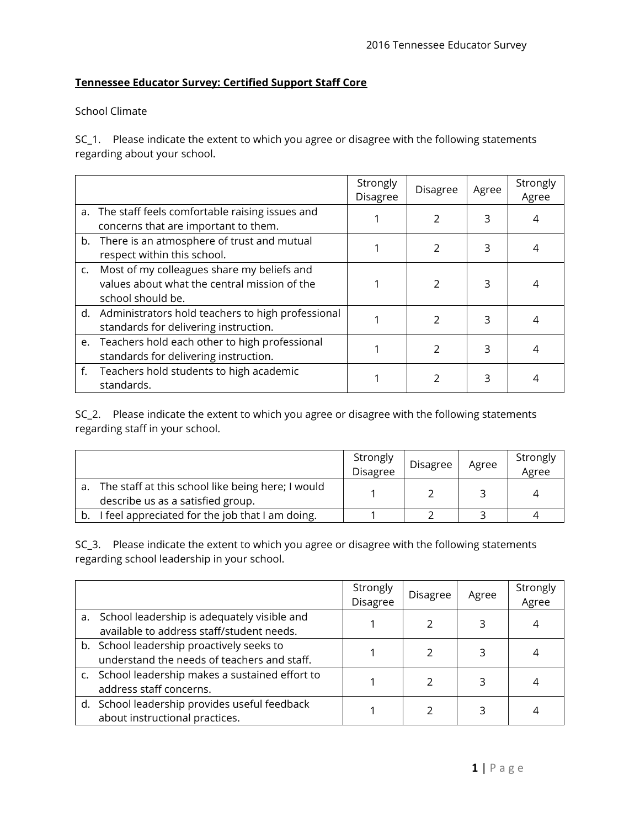## **Tennessee Educator Survey: Certified Support Staff Core**

## School Climate

SC\_1. Please indicate the extent to which you agree or disagree with the following statements regarding about your school.

|                                                                                                                    | Strongly<br><b>Disagree</b> | <b>Disagree</b> | Agree | Strongly<br>Agree |
|--------------------------------------------------------------------------------------------------------------------|-----------------------------|-----------------|-------|-------------------|
| a. The staff feels comfortable raising issues and<br>concerns that are important to them.                          |                             | 2               | 3     |                   |
| b. There is an atmosphere of trust and mutual<br>respect within this school.                                       |                             | $\mathcal{P}$   | 3     |                   |
| c. Most of my colleagues share my beliefs and<br>values about what the central mission of the<br>school should be. |                             | $\mathcal{P}$   | 3     |                   |
| d. Administrators hold teachers to high professional<br>standards for delivering instruction.                      |                             | $\mathfrak{p}$  | 3     |                   |
| e. Teachers hold each other to high professional<br>standards for delivering instruction.                          |                             | $\mathfrak{p}$  | 3     |                   |
| f. Teachers hold students to high academic<br>standards.                                                           |                             |                 |       |                   |

SC<sub>\_2</sub>. Please indicate the extent to which you agree or disagree with the following statements regarding staff in your school.

|                                                                                        | Strongly<br><b>Disagree</b> | Disagree | Agree | Strongly<br>Agree |
|----------------------------------------------------------------------------------------|-----------------------------|----------|-------|-------------------|
| The staff at this school like being here; I would<br>describe us as a satisfied group. |                             |          |       |                   |
| I feel appreciated for the job that I am doing.                                        |                             |          |       |                   |

SC\_3. Please indicate the extent to which you agree or disagree with the following statements regarding school leadership in your school.

|                                                                                             | Strongly<br><b>Disagree</b> | Disagree | Agree | Strongly<br>Agree |
|---------------------------------------------------------------------------------------------|-----------------------------|----------|-------|-------------------|
| a. School leadership is adequately visible and<br>available to address staff/student needs. |                             |          | 3     |                   |
| b. School leadership proactively seeks to<br>understand the needs of teachers and staff.    |                             |          |       |                   |
| c. School leadership makes a sustained effort to<br>address staff concerns.                 |                             |          |       |                   |
| d. School leadership provides useful feedback<br>about instructional practices.             |                             |          |       |                   |